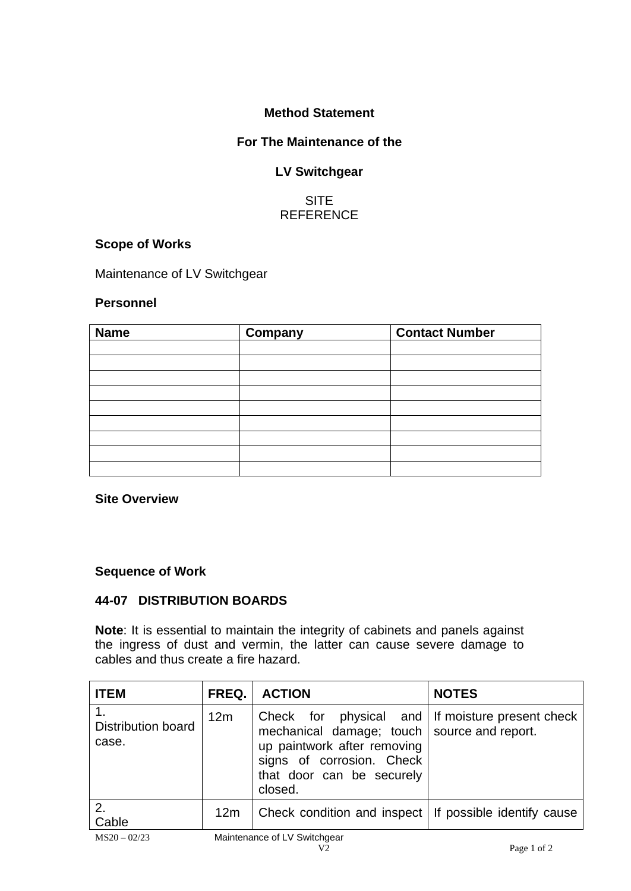# **Method Statement**

# **For The Maintenance of the**

# **LV Switchgear**

# **SITE REFERENCE**

# **Scope of Works**

Maintenance of LV Switchgear

#### **Personnel**

| <b>Name</b> | Company | <b>Contact Number</b> |
|-------------|---------|-----------------------|
|             |         |                       |
|             |         |                       |
|             |         |                       |
|             |         |                       |
|             |         |                       |
|             |         |                       |
|             |         |                       |
|             |         |                       |
|             |         |                       |

**Site Overview**

#### **Sequence of Work**

### **44-07 DISTRIBUTION BOARDS**

**Note**: It is essential to maintain the integrity of cabinets and panels against the ingress of dust and vermin, the latter can cause severe damage to cables and thus create a fire hazard.

| <b>ITEM</b>                        | FREQ. | <b>ACTION</b>                                                                                                                                                                                         | <b>NOTES</b> |
|------------------------------------|-------|-------------------------------------------------------------------------------------------------------------------------------------------------------------------------------------------------------|--------------|
| <b>Distribution board</b><br>case. | 12m   | Check for physical and If moisture present check<br>mechanical damage; touch   source and report.<br>up paintwork after removing<br>signs of corrosion. Check<br>that door can be securely<br>closed. |              |
| 2.<br>Cable                        | 12m   | Check condition and inspect   If possible identify cause                                                                                                                                              |              |
| $M$ SOO $022$                      |       | Maintenance of LV Switchgear                                                                                                                                                                          |              |